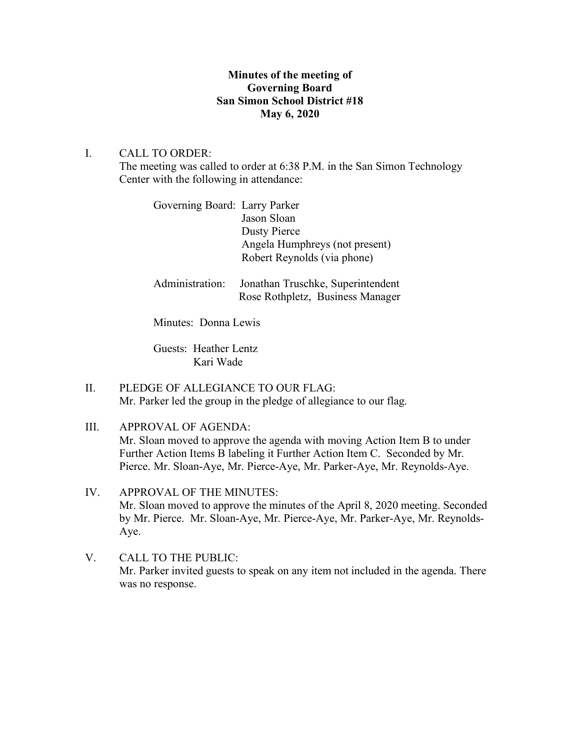# **Minutes of the meeting of Governing Board San Simon School District #18 May 6, 2020**

# I. CALL TO ORDER:

The meeting was called to order at 6:38 P.M. in the San Simon Technology Center with the following in attendance:

| Governing Board: Larry Parker |                                |
|-------------------------------|--------------------------------|
|                               | Jason Sloan                    |
|                               | Dusty Pierce                   |
|                               | Angela Humphreys (not present) |
|                               | Robert Reynolds (via phone)    |
|                               |                                |

Administration: Jonathan Truschke, Superintendent Rose Rothpletz, Business Manager

Minutes: Donna Lewis

Guests: Heather Lentz Kari Wade

- II. PLEDGE OF ALLEGIANCE TO OUR FLAG: Mr. Parker led the group in the pledge of allegiance to our flag.
- III. APPROVAL OF AGENDA: Mr. Sloan moved to approve the agenda with moving Action Item B to under Further Action Items B labeling it Further Action Item C. Seconded by Mr. Pierce. Mr. Sloan-Aye, Mr. Pierce-Aye, Mr. Parker-Aye, Mr. Reynolds-Aye.
- IV. APPROVAL OF THE MINUTES: Mr. Sloan moved to approve the minutes of the April 8, 2020 meeting. Seconded by Mr. Pierce. Mr. Sloan-Aye, Mr. Pierce-Aye, Mr. Parker-Aye, Mr. Reynolds-Aye.
- V. CALL TO THE PUBLIC: Mr. Parker invited guests to speak on any item not included in the agenda. There was no response.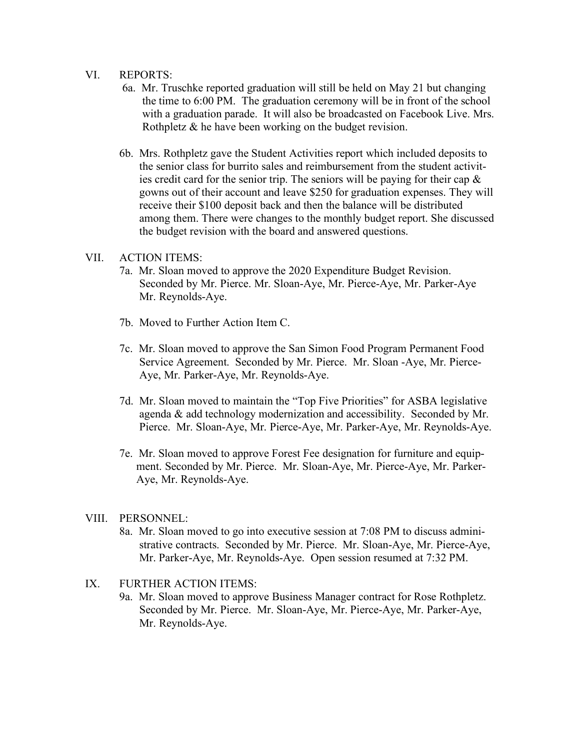#### VI. REPORTS:

- 6a. Mr. Truschke reported graduation will still be held on May 21 but changing the time to 6:00 PM. The graduation ceremony will be in front of the school with a graduation parade. It will also be broadcasted on Facebook Live. Mrs. Rothpletz & he have been working on the budget revision.
- 6b. Mrs. Rothpletz gave the Student Activities report which included deposits to the senior class for burrito sales and reimbursement from the student activit ies credit card for the senior trip. The seniors will be paying for their cap  $\&$  gowns out of their account and leave \$250 for graduation expenses. They will receive their \$100 deposit back and then the balance will be distributed among them. There were changes to the monthly budget report. She discussed the budget revision with the board and answered questions.

### VII. ACTION ITEMS:

- 7a. Mr. Sloan moved to approve the 2020 Expenditure Budget Revision. Seconded by Mr. Pierce. Mr. Sloan-Aye, Mr. Pierce-Aye, Mr. Parker-Aye Mr. Reynolds-Aye.
- 7b. Moved to Further Action Item C.
- 7c. Mr. Sloan moved to approve the San Simon Food Program Permanent Food Service Agreement. Seconded by Mr. Pierce. Mr. Sloan -Aye, Mr. Pierce- Aye, Mr. Parker-Aye, Mr. Reynolds-Aye.
- 7d. Mr. Sloan moved to maintain the "Top Five Priorities" for ASBA legislative agenda & add technology modernization and accessibility. Seconded by Mr. Pierce. Mr. Sloan-Aye, Mr. Pierce-Aye, Mr. Parker-Aye, Mr. Reynolds-Aye.
- 7e. Mr. Sloan moved to approve Forest Fee designation for furniture and equipment. Seconded by Mr. Pierce. Mr. Sloan-Aye, Mr. Pierce-Aye, Mr. Parker-Aye, Mr. Reynolds-Aye.

#### VIII. PERSONNEL:

- 8a. Mr. Sloan moved to go into executive session at 7:08 PM to discuss admini strative contracts. Seconded by Mr. Pierce. Mr. Sloan-Aye, Mr. Pierce-Aye, Mr. Parker-Aye, Mr. Reynolds-Aye. Open session resumed at 7:32 PM.
- IX. FURTHER ACTION ITEMS:
	- 9a. Mr. Sloan moved to approve Business Manager contract for Rose Rothpletz. Seconded by Mr. Pierce. Mr. Sloan-Aye, Mr. Pierce-Aye, Mr. Parker-Aye, Mr. Reynolds-Aye.